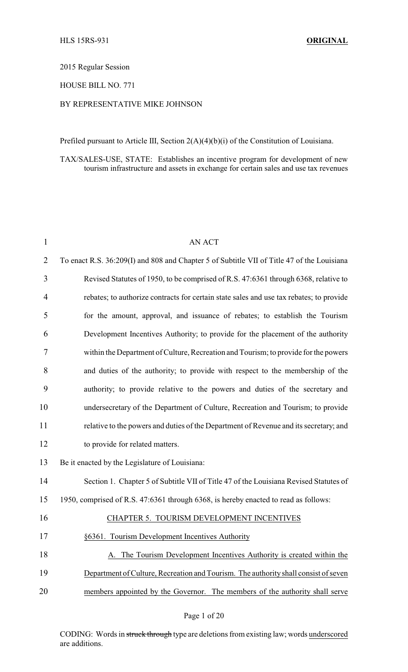#### 2015 Regular Session

### HOUSE BILL NO. 771

#### BY REPRESENTATIVE MIKE JOHNSON

Prefiled pursuant to Article III, Section 2(A)(4)(b)(i) of the Constitution of Louisiana.

TAX/SALES-USE, STATE: Establishes an incentive program for development of new tourism infrastructure and assets in exchange for certain sales and use tax revenues

| $\mathbf{1}$   | <b>AN ACT</b>                                                                              |
|----------------|--------------------------------------------------------------------------------------------|
| $\overline{2}$ | To enact R.S. 36:209(I) and 808 and Chapter 5 of Subtitle VII of Title 47 of the Louisiana |
| 3              | Revised Statutes of 1950, to be comprised of R.S. 47:6361 through 6368, relative to        |
| 4              | rebates; to authorize contracts for certain state sales and use tax rebates; to provide    |
| 5              | for the amount, approval, and issuance of rebates; to establish the Tourism                |
| 6              | Development Incentives Authority; to provide for the placement of the authority            |
| 7              | within the Department of Culture, Recreation and Tourism; to provide for the powers        |
| 8              | and duties of the authority; to provide with respect to the membership of the              |
| 9              | authority; to provide relative to the powers and duties of the secretary and               |
| 10             | undersecretary of the Department of Culture, Recreation and Tourism; to provide            |
| 11             | relative to the powers and duties of the Department of Revenue and its secretary; and      |
| 12             | to provide for related matters.                                                            |
| 13             | Be it enacted by the Legislature of Louisiana:                                             |
| 14             | Section 1. Chapter 5 of Subtitle VII of Title 47 of the Louisiana Revised Statutes of      |
| 15             | 1950, comprised of R.S. 47:6361 through 6368, is hereby enacted to read as follows:        |
| 16             | CHAPTER 5. TOURISM DEVELOPMENT INCENTIVES                                                  |
| 17             | §6361. Tourism Development Incentives Authority                                            |
| 18             | A. The Tourism Development Incentives Authority is created within the                      |
| 19             | Department of Culture, Recreation and Tourism. The authority shall consist of seven        |
| 20             | members appointed by the Governor. The members of the authority shall serve                |
|                |                                                                                            |

CODING: Words in struck through type are deletions from existing law; words underscored are additions.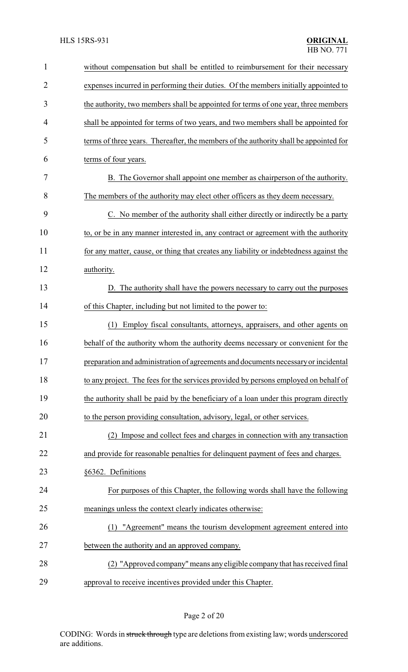| $\mathbf{1}$   | without compensation but shall be entitled to reimbursement for their necessary        |
|----------------|----------------------------------------------------------------------------------------|
| $\overline{2}$ | expenses incurred in performing their duties. Of the members initially appointed to    |
| 3              | the authority, two members shall be appointed for terms of one year, three members     |
| 4              | shall be appointed for terms of two years, and two members shall be appointed for      |
| 5              | terms of three years. Thereafter, the members of the authority shall be appointed for  |
| 6              | terms of four years.                                                                   |
| 7              | B. The Governor shall appoint one member as chairperson of the authority.              |
| 8              | The members of the authority may elect other officers as they deem necessary.          |
| 9              | C. No member of the authority shall either directly or indirectly be a party           |
| 10             | to, or be in any manner interested in, any contract or agreement with the authority    |
| 11             | for any matter, cause, or thing that creates any liability or indebtedness against the |
| 12             | authority.                                                                             |
| 13             | D. The authority shall have the powers necessary to carry out the purposes             |
| 14             | of this Chapter, including but not limited to the power to:                            |
| 15             | Employ fiscal consultants, attorneys, appraisers, and other agents on<br>(1)           |
| 16             | behalf of the authority whom the authority deems necessary or convenient for the       |
| 17             | preparation and administration of agreements and documents necessary or incidental     |
| 18             | to any project. The fees for the services provided by persons employed on behalf of    |
| 19             | the authority shall be paid by the beneficiary of a loan under this program directly   |
| 20             | to the person providing consultation, advisory, legal, or other services.              |
| 21             | (2) Impose and collect fees and charges in connection with any transaction             |
| 22             | and provide for reasonable penalties for delinquent payment of fees and charges.       |
| 23             | §6362. Definitions                                                                     |
| 24             | For purposes of this Chapter, the following words shall have the following             |
| 25             | meanings unless the context clearly indicates otherwise:                               |
| 26             | (1) "Agreement" means the tourism development agreement entered into                   |
| 27             | between the authority and an approved company.                                         |
| 28             | (2) "Approved company" means any eligible company that has received final              |
| 29             | approval to receive incentives provided under this Chapter.                            |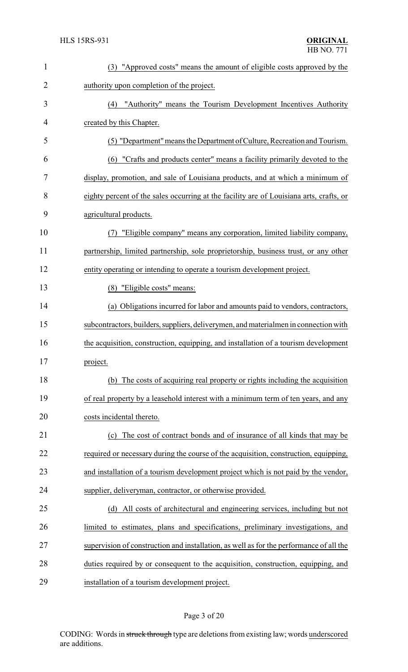| 1              | (3) "Approved costs" means the amount of eligible costs approved by the                 |
|----------------|-----------------------------------------------------------------------------------------|
| $\overline{2}$ | authority upon completion of the project.                                               |
| 3              | (4) "Authority" means the Tourism Development Incentives Authority                      |
| 4              | created by this Chapter.                                                                |
| 5              | (5) "Department" means the Department of Culture, Recreation and Tourism.               |
| 6              | (6) "Crafts and products center" means a facility primarily devoted to the              |
| 7              | display, promotion, and sale of Louisiana products, and at which a minimum of           |
| 8              | eighty percent of the sales occurring at the facility are of Louisiana arts, crafts, or |
| 9              | agricultural products.                                                                  |
| 10             | "Eligible company" means any corporation, limited liability company,<br>(7)             |
| 11             | partnership, limited partnership, sole proprietorship, business trust, or any other     |
| 12             | entity operating or intending to operate a tourism development project.                 |
| 13             | (8) "Eligible costs" means:                                                             |
| 14             | (a) Obligations incurred for labor and amounts paid to vendors, contractors,            |
| 15             | subcontractors, builders, suppliers, deliverymen, and materialmen in connection with    |
| 16             | the acquisition, construction, equipping, and installation of a tourism development     |
| 17             | project.                                                                                |
| 18             | (b) The costs of acquiring real property or rights including the acquisition            |
| 19             | of real property by a leasehold interest with a minimum term of ten years, and any      |
| 20             | costs incidental thereto.                                                               |
| 21             | The cost of contract bonds and of insurance of all kinds that may be<br>(c)             |
| 22             | required or necessary during the course of the acquisition, construction, equipping,    |
| 23             | and installation of a tourism development project which is not paid by the vendor,      |
| 24             | supplier, deliveryman, contractor, or otherwise provided.                               |
| 25             | (d) All costs of architectural and engineering services, including but not              |
| 26             | limited to estimates, plans and specifications, preliminary investigations, and         |
| 27             | supervision of construction and installation, as well as for the performance of all the |
| 28             | duties required by or consequent to the acquisition, construction, equipping, and       |
| 29             | installation of a tourism development project.                                          |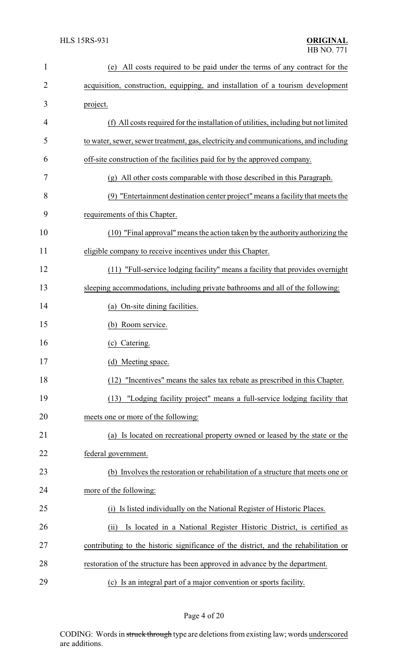| $\mathbf{1}$   | All costs required to be paid under the terms of any contract for the<br>(e)         |
|----------------|--------------------------------------------------------------------------------------|
| $\overline{2}$ | acquisition, construction, equipping, and installation of a tourism development      |
| 3              | project.                                                                             |
| 4              | (f) All costs required for the installation of utilities, including but not limited  |
| 5              | to water, sewer, sewer treatment, gas, electricity and communications, and including |
| 6              | off-site construction of the facilities paid for by the approved company.            |
| 7              | (g) All other costs comparable with those described in this Paragraph.               |
| 8              | (9) "Entertainment destination center project" means a facility that meets the       |
| 9              | requirements of this Chapter.                                                        |
| 10             | (10) "Final approval" means the action taken by the authority authorizing the        |
| 11             | eligible company to receive incentives under this Chapter.                           |
| 12             | (11) "Full-service lodging facility" means a facility that provides overnight        |
| 13             | sleeping accommodations, including private bathrooms and all of the following:       |
| 14             | (a) On-site dining facilities.                                                       |
| 15             | (b) Room service.                                                                    |
| 16             | (c) Catering.                                                                        |
| 17             | (d) Meeting space.                                                                   |
| 18             | (12) "Incentives" means the sales tax rebate as prescribed in this Chapter.          |
| 19             | "Lodging facility project" means a full-service lodging facility that<br>(13)        |
| 20             | meets one or more of the following:                                                  |
| 21             | (a) Is located on recreational property owned or leased by the state or the          |
| 22             | federal government.                                                                  |
| 23             | (b) Involves the restoration or rehabilitation of a structure that meets one or      |
| 24             | more of the following:                                                               |
| 25             | Is listed individually on the National Register of Historic Places.<br>(i)           |
| 26             | Is located in a National Register Historic District, is certified as<br>(ii)         |
| 27             | contributing to the historic significance of the district, and the rehabilitation or |
| 28             | restoration of the structure has been approved in advance by the department.         |
| 29             | (c) Is an integral part of a major convention or sports facility.                    |

Page 4 of 20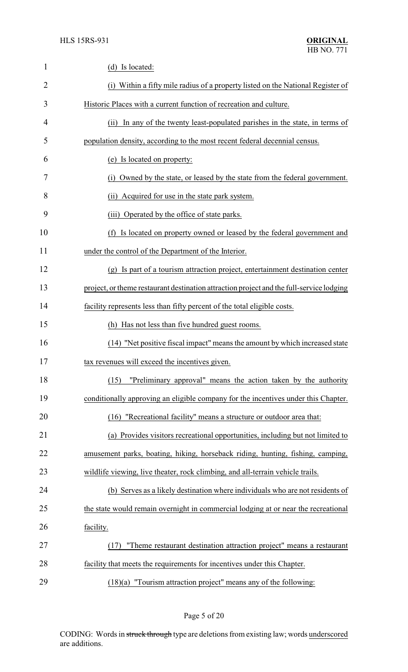| $\mathbf{1}$ | (d) Is located:                                                                          |
|--------------|------------------------------------------------------------------------------------------|
| 2            | (i) Within a fifty mile radius of a property listed on the National Register of          |
| 3            | Historic Places with a current function of recreation and culture.                       |
| 4            | In any of the twenty least-populated parishes in the state, in terms of<br>(ii)          |
| 5            | population density, according to the most recent federal decennial census.               |
| 6            | (e) Is located on property:                                                              |
| 7            | Owned by the state, or leased by the state from the federal government.<br>(i)           |
| 8            | (ii) Acquired for use in the state park system.                                          |
| 9            | (iii) Operated by the office of state parks.                                             |
| 10           | Is located on property owned or leased by the federal government and<br>(f)              |
| 11           | under the control of the Department of the Interior.                                     |
| 12           | (g) Is part of a tourism attraction project, entertainment destination center            |
| 13           | project, or theme restaurant destination attraction project and the full-service lodging |
| 14           | facility represents less than fifty percent of the total eligible costs.                 |
| 15           | (h) Has not less than five hundred guest rooms.                                          |
| 16           | (14) "Net positive fiscal impact" means the amount by which increased state              |
| 17           | tax revenues will exceed the incentives given.                                           |
| 18           | "Preliminary approval" means the action taken by the authority<br>(15)                   |
| 19           | conditionally approving an eligible company for the incentives under this Chapter.       |
| 20           | (16) "Recreational facility" means a structure or outdoor area that:                     |
| 21           | (a) Provides visitors recreational opportunities, including but not limited to           |
| 22           | amusement parks, boating, hiking, horseback riding, hunting, fishing, camping,           |
| 23           | wildlife viewing, live theater, rock climbing, and all-terrain vehicle trails.           |
| 24           | (b) Serves as a likely destination where individuals who are not residents of            |
| 25           | the state would remain overnight in commercial lodging at or near the recreational       |
| 26           | facility.                                                                                |
| 27           | "Theme restaurant destination attraction project" means a restaurant<br>(17)             |
| 28           | facility that meets the requirements for incentives under this Chapter.                  |
| 29           | $(18)(a)$ "Tourism attraction project" means any of the following:                       |

Page 5 of 20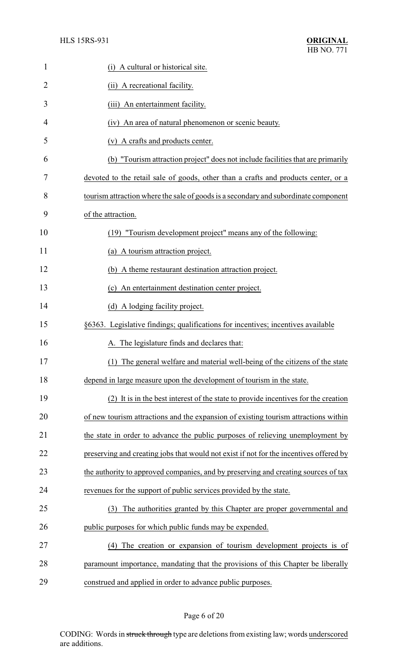| $\mathbf{1}$   | (i) A cultural or historical site.                                                     |
|----------------|----------------------------------------------------------------------------------------|
| $\overline{2}$ | (ii) A recreational facility.                                                          |
| 3              | An entertainment facility.<br>(iii)                                                    |
| 4              | An area of natural phenomenon or scenic beauty.<br>(iv)                                |
| 5              | (v) A crafts and products center.                                                      |
| 6              | (b) "Tourism attraction project" does not include facilities that are primarily        |
| 7              | devoted to the retail sale of goods, other than a crafts and products center, or a     |
| 8              | tourism attraction where the sale of goods is a secondary and subordinate component    |
| 9              | of the attraction.                                                                     |
| 10             | (19) "Tourism development project" means any of the following:                         |
| 11             | (a) A tourism attraction project.                                                      |
| 12             | (b) A theme restaurant destination attraction project.                                 |
| 13             | An entertainment destination center project.<br>(c)                                    |
| 14             | (d) A lodging facility project.                                                        |
| 15             | §6363. Legislative findings; qualifications for incentives; incentives available       |
| 16             | A. The legislature finds and declares that:                                            |
| 17             | (1) The general welfare and material well-being of the citizens of the state           |
| 18             | depend in large measure upon the development of tourism in the state.                  |
| 19             | (2) It is in the best interest of the state to provide incentives for the creation     |
| 20             | of new tourism attractions and the expansion of existing tourism attractions within    |
| 21             | the state in order to advance the public purposes of relieving unemployment by         |
| 22             | preserving and creating jobs that would not exist if not for the incentives offered by |
| 23             | the authority to approved companies, and by preserving and creating sources of tax     |
| 24             | revenues for the support of public services provided by the state.                     |
| 25             | The authorities granted by this Chapter are proper governmental and<br>(3)             |
| 26             | public purposes for which public funds may be expended.                                |
| 27             | The creation or expansion of tourism development projects is of<br>(4)                 |
| 28             | paramount importance, mandating that the provisions of this Chapter be liberally       |
| 29             | construed and applied in order to advance public purposes.                             |

# Page 6 of 20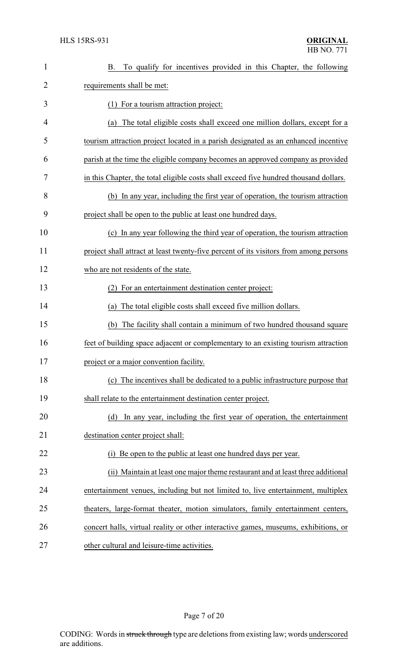| $\mathbf{1}$   | B. To qualify for incentives provided in this Chapter, the following                  |
|----------------|---------------------------------------------------------------------------------------|
| $\overline{2}$ | requirements shall be met:                                                            |
| 3              | (1) For a tourism attraction project:                                                 |
| $\overline{4}$ | The total eligible costs shall exceed one million dollars, except for a<br>(a)        |
| 5              | tourism attraction project located in a parish designated as an enhanced incentive    |
| 6              | parish at the time the eligible company becomes an approved company as provided       |
| 7              | in this Chapter, the total eligible costs shall exceed five hundred thousand dollars. |
| 8              | (b) In any year, including the first year of operation, the tourism attraction        |
| 9              | project shall be open to the public at least one hundred days.                        |
| 10             | (c) In any year following the third year of operation, the tourism attraction         |
| 11             | project shall attract at least twenty-five percent of its visitors from among persons |
| 12             | who are not residents of the state.                                                   |
| 13             | For an entertainment destination center project:<br>(2)                               |
| 14             | The total eligible costs shall exceed five million dollars.<br>(a)                    |
| 15             | (b) The facility shall contain a minimum of two hundred thousand square               |
| 16             | feet of building space adjacent or complementary to an existing tourism attraction    |
| 17             | project or a major convention facility.                                               |
| 18             | (c) The incentives shall be dedicated to a public infrastructure purpose that         |
| 19             | shall relate to the entertainment destination center project.                         |
| 20             | In any year, including the first year of operation, the entertainment<br>(d)          |
| 21             | destination center project shall:                                                     |
| 22             | Be open to the public at least one hundred days per year.                             |
| 23             | (ii) Maintain at least one major theme restaurant and at least three additional       |
| 24             | entertainment venues, including but not limited to, live entertainment, multiplex     |
| 25             | theaters, large-format theater, motion simulators, family entertainment centers,      |
| 26             | concert halls, virtual reality or other interactive games, museums, exhibitions, or   |
| 27             | other cultural and leisure-time activities.                                           |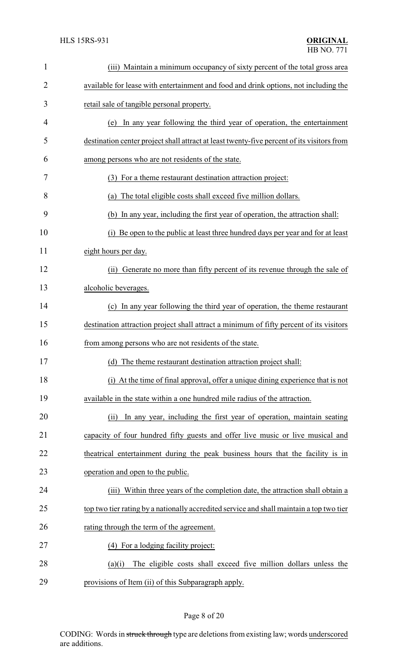| $\mathbf{1}$ | (iii) Maintain a minimum occupancy of sixty percent of the total gross area                |
|--------------|--------------------------------------------------------------------------------------------|
| 2            | available for lease with entertainment and food and drink options, not including the       |
| 3            | retail sale of tangible personal property.                                                 |
| 4            | In any year following the third year of operation, the entertainment<br>(e)                |
| 5            | destination center project shall attract at least twenty-five percent of its visitors from |
| 6            | among persons who are not residents of the state.                                          |
| 7            | (3) For a theme restaurant destination attraction project:                                 |
| 8            | (a) The total eligible costs shall exceed five million dollars.                            |
| 9            | (b) In any year, including the first year of operation, the attraction shall:              |
| 10           | Be open to the public at least three hundred days per year and for at least<br>(i)         |
| 11           | eight hours per day.                                                                       |
| 12           | (ii) Generate no more than fifty percent of its revenue through the sale of                |
| 13           | alcoholic beverages.                                                                       |
| 14           | (c) In any year following the third year of operation, the theme restaurant                |
| 15           | destination attraction project shall attract a minimum of fifty percent of its visitors    |
| 16           | from among persons who are not residents of the state.                                     |
| 17           | (d) The theme restaurant destination attraction project shall:                             |
| 18           | (i) At the time of final approval, offer a unique dining experience that is not            |
| 19           | available in the state within a one hundred mile radius of the attraction.                 |
| 20           | In any year, including the first year of operation, maintain seating<br>(ii)               |
| 21           | capacity of four hundred fifty guests and offer live music or live musical and             |
| 22           | the attrical entertainment during the peak business hours that the facility is in          |
| 23           | operation and open to the public.                                                          |
| 24           | Within three years of the completion date, the attraction shall obtain a<br>(iii)          |
| 25           | top two tier rating by a nationally accredited service and shall maintain a top two tier   |
| 26           | rating through the term of the agreement.                                                  |
| 27           | (4) For a lodging facility project:                                                        |
| 28           | The eligible costs shall exceed five million dollars unless the<br>(a)(i)                  |
| 29           | provisions of Item (ii) of this Subparagraph apply.                                        |

# Page 8 of 20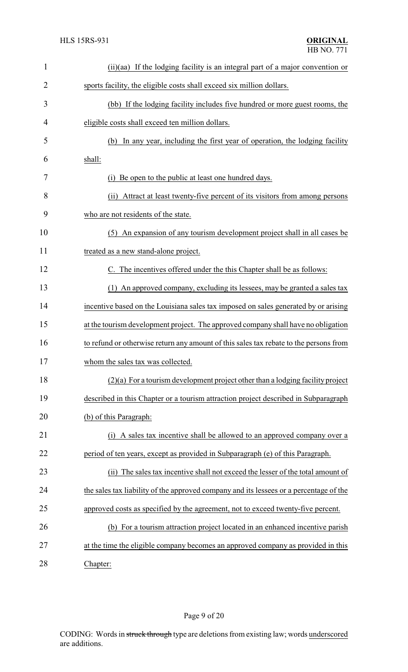| $\mathbf{1}$   | (ii)(aa) If the lodging facility is an integral part of a major convention or          |
|----------------|----------------------------------------------------------------------------------------|
| 2              | sports facility, the eligible costs shall exceed six million dollars.                  |
| 3              | (bb) If the lodging facility includes five hundred or more guest rooms, the            |
| $\overline{4}$ | eligible costs shall exceed ten million dollars.                                       |
| 5              | In any year, including the first year of operation, the lodging facility<br>(b)        |
| 6              | shall:                                                                                 |
| 7              | Be open to the public at least one hundred days.                                       |
| 8              | Attract at least twenty-five percent of its visitors from among persons<br>(ii)        |
| 9              | who are not residents of the state.                                                    |
| 10             | (5) An expansion of any tourism development project shall in all cases be              |
| 11             | treated as a new stand-alone project.                                                  |
| 12             | The incentives offered under the this Chapter shall be as follows:                     |
| 13             | An approved company, excluding its lessees, may be granted a sales tax<br>(1)          |
| 14             | incentive based on the Louisiana sales tax imposed on sales generated by or arising    |
| 15             | at the tourism development project. The approved company shall have no obligation      |
| 16             | to refund or otherwise return any amount of this sales tax rebate to the persons from  |
| 17             | whom the sales tax was collected.                                                      |
| 18             | $(2)(a)$ For a tourism development project other than a lodging facility project       |
| 19             | described in this Chapter or a tourism attraction project described in Subparagraph    |
| 20             | (b) of this Paragraph:                                                                 |
| 21             | A sales tax incentive shall be allowed to an approved company over a<br>(i)            |
| 22             | period of ten years, except as provided in Subparagraph (e) of this Paragraph.         |
| 23             | (ii) The sales tax incentive shall not exceed the lesser of the total amount of        |
| 24             | the sales tax liability of the approved company and its lessees or a percentage of the |
| 25             | approved costs as specified by the agreement, not to exceed twenty-five percent.       |
| 26             | (b) For a tourism attraction project located in an enhanced incentive parish           |
| 27             | at the time the eligible company becomes an approved company as provided in this       |
|                |                                                                                        |

28 Chapter: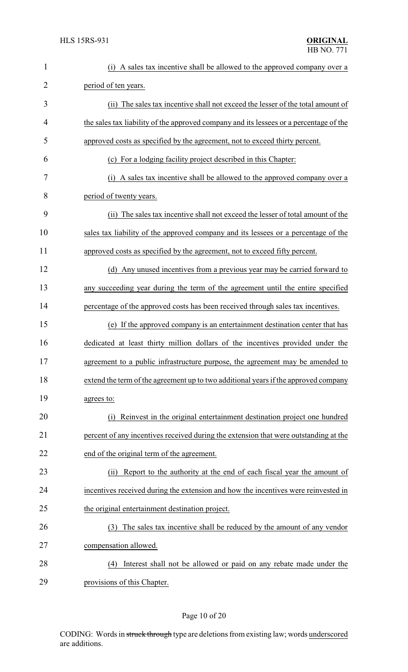| $\mathbf{1}$   | (i) A sales tax incentive shall be allowed to the approved company over a              |
|----------------|----------------------------------------------------------------------------------------|
| $\overline{2}$ | period of ten years.                                                                   |
| 3              | (ii) The sales tax incentive shall not exceed the lesser of the total amount of        |
| $\overline{4}$ | the sales tax liability of the approved company and its lessees or a percentage of the |
| 5              | approved costs as specified by the agreement, not to exceed thirty percent.            |
| 6              | (c) For a lodging facility project described in this Chapter:                          |
| 7              | A sales tax incentive shall be allowed to the approved company over a<br>(i)           |
| 8              | period of twenty years.                                                                |
| 9              | (ii) The sales tax incentive shall not exceed the lesser of total amount of the        |
| 10             | sales tax liability of the approved company and its lessees or a percentage of the     |
| 11             | approved costs as specified by the agreement, not to exceed fifty percent.             |
| 12             | (d) Any unused incentives from a previous year may be carried forward to               |
| 13             | any succeeding year during the term of the agreement until the entire specified        |
| 14             | percentage of the approved costs has been received through sales tax incentives.       |
| 15             | (e) If the approved company is an entertainment destination center that has            |
| 16             | dedicated at least thirty million dollars of the incentives provided under the         |
| 17             | agreement to a public infrastructure purpose, the agreement may be amended to          |
| 18             | extend the term of the agreement up to two additional years if the approved company    |
| 19             | agrees to:                                                                             |
| 20             | Reinvest in the original entertainment destination project one hundred<br>(i)          |
| 21             | percent of any incentives received during the extension that were outstanding at the   |
| 22             | end of the original term of the agreement.                                             |
| 23             | (ii) Report to the authority at the end of each fiscal year the amount of              |
| 24             | incentives received during the extension and how the incentives were reinvested in     |
| 25             | the original entertainment destination project.                                        |
| 26             | The sales tax incentive shall be reduced by the amount of any vendor<br>(3)            |
| 27             | compensation allowed.                                                                  |
| 28             | Interest shall not be allowed or paid on any rebate made under the<br>(4)              |
| 29             | provisions of this Chapter.                                                            |

# Page 10 of 20

CODING: Words in struck through type are deletions from existing law; words underscored are additions.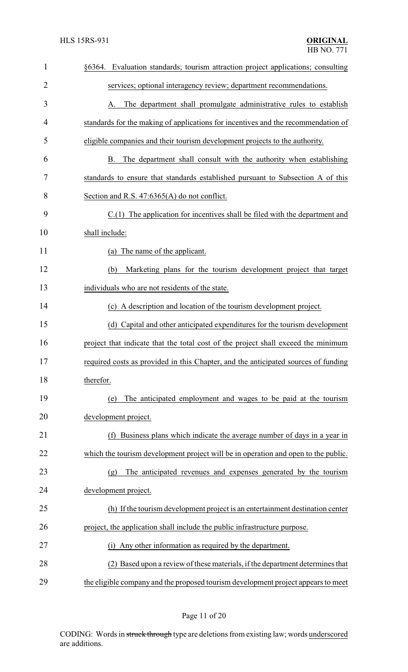| $\mathbf{1}$   | §6364. Evaluation standards; tourism attraction project applications; consulting   |
|----------------|------------------------------------------------------------------------------------|
| $\overline{2}$ | services; optional interagency review; department recommendations.                 |
| 3              | The department shall promulgate administrative rules to establish<br>А.            |
| $\overline{4}$ | standards for the making of applications for incentives and the recommendation of  |
| 5              | eligible companies and their tourism development projects to the authority.        |
| 6              | The department shall consult with the authority when establishing<br>В.            |
| 7              | standards to ensure that standards established pursuant to Subsection A of this    |
| 8              | Section and R.S. 47:6365(A) do not conflict.                                       |
| 9              | $C(1)$ The application for incentives shall be filed with the department and       |
| 10             | shall include:                                                                     |
| 11             | (a) The name of the applicant.                                                     |
| 12             | Marketing plans for the tourism development project that target<br>(b)             |
| 13             | individuals who are not residents of the state.                                    |
| 14             | (c) A description and location of the tourism development project.                 |
| 15             | (d) Capital and other anticipated expenditures for the tourism development         |
| 16             | project that indicate that the total cost of the project shall exceed the minimum  |
| 17             | required costs as provided in this Chapter, and the anticipated sources of funding |
| 18             | therefor.                                                                          |
| 19             | The anticipated employment and wages to be paid at the tourism<br>(e)              |
| 20             | development project.                                                               |
| 21             | Business plans which indicate the average number of days in a year in<br>(f)       |
| 22             | which the tourism development project will be in operation and open to the public. |
| 23             | The anticipated revenues and expenses generated by the tourism<br>(g)              |
| 24             | development project.                                                               |
| 25             | (h) If the tourism development project is an entertainment destination center      |
| 26             | project, the application shall include the public infrastructure purpose.          |
| 27             | Any other information as required by the department.<br>(1)                        |
| 28             | (2) Based upon a review of these materials, if the department determines that      |
| 29             | the eligible company and the proposed tourism development project appears to meet  |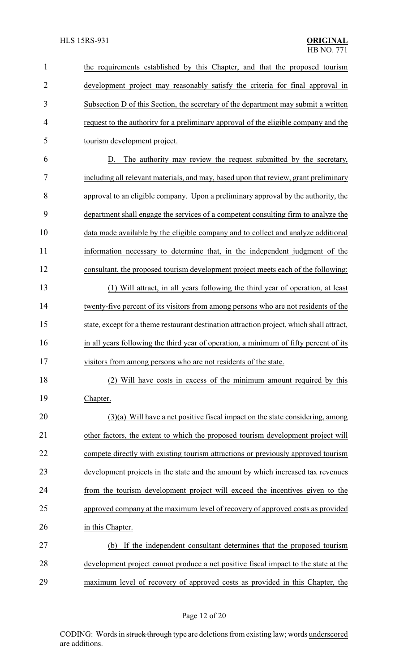| $\mathbf{1}$   | the requirements established by this Chapter, and that the proposed tourism               |
|----------------|-------------------------------------------------------------------------------------------|
| $\overline{2}$ | development project may reasonably satisfy the criteria for final approval in             |
| 3              | Subsection D of this Section, the secretary of the department may submit a written        |
| 4              | request to the authority for a preliminary approval of the eligible company and the       |
| 5              | tourism development project.                                                              |
| 6              | The authority may review the request submitted by the secretary,<br>D.                    |
| 7              | including all relevant materials, and may, based upon that review, grant preliminary      |
| 8              | approval to an eligible company. Upon a preliminary approval by the authority, the        |
| 9              | department shall engage the services of a competent consulting firm to analyze the        |
| 10             | data made available by the eligible company and to collect and analyze additional         |
| 11             | information necessary to determine that, in the independent judgment of the               |
| 12             | consultant, the proposed tourism development project meets each of the following:         |
| 13             | (1) Will attract, in all years following the third year of operation, at least            |
| 14             | twenty-five percent of its visitors from among persons who are not residents of the       |
| 15             | state, except for a theme restaurant destination attraction project, which shall attract, |
| 16             | in all years following the third year of operation, a minimum of fifty percent of its     |
| 17             | visitors from among persons who are not residents of the state.                           |
| 18             | (2) Will have costs in excess of the minimum amount required by this                      |
| 19             | Chapter.                                                                                  |
| 20             | $(3)(a)$ Will have a net positive fiscal impact on the state considering, among           |
| 21             | other factors, the extent to which the proposed tourism development project will          |
| 22             | compete directly with existing tourism attractions or previously approved tourism         |
| 23             | development projects in the state and the amount by which increased tax revenues          |
| 24             | from the tourism development project will exceed the incentives given to the              |
| 25             | approved company at the maximum level of recovery of approved costs as provided           |
| 26             | in this Chapter.                                                                          |
| 27             | If the independent consultant determines that the proposed tourism<br>(b)                 |
| 28             | development project cannot produce a net positive fiscal impact to the state at the       |
| 29             | maximum level of recovery of approved costs as provided in this Chapter, the              |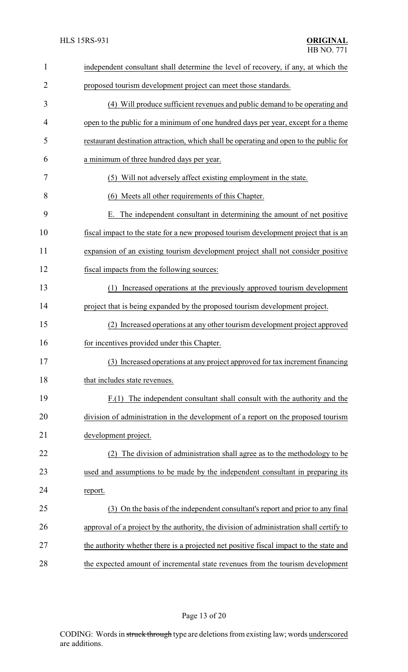| $\mathbf{1}$ | independent consultant shall determine the level of recovery, if any, at which the      |
|--------------|-----------------------------------------------------------------------------------------|
| 2            | proposed tourism development project can meet those standards.                          |
| 3            | (4) Will produce sufficient revenues and public demand to be operating and              |
| 4            | open to the public for a minimum of one hundred days per year, except for a theme       |
| 5            | restaurant destination attraction, which shall be operating and open to the public for  |
| 6            | a minimum of three hundred days per year.                                               |
| 7            | (5) Will not adversely affect existing employment in the state.                         |
| 8            | (6) Meets all other requirements of this Chapter.                                       |
| 9            | The independent consultant in determining the amount of net positive<br>Е.              |
| 10           | fiscal impact to the state for a new proposed tourism development project that is an    |
| 11           | expansion of an existing tourism development project shall not consider positive        |
| 12           | fiscal impacts from the following sources:                                              |
| 13           | Increased operations at the previously approved tourism development<br>(1)              |
| 14           | project that is being expanded by the proposed tourism development project.             |
| 15           | Increased operations at any other tourism development project approved<br>(2)           |
| 16           | for incentives provided under this Chapter.                                             |
| 17           | (3) Increased operations at any project approved for tax increment financing            |
| 18           | that includes state revenues.                                                           |
| 19           | The independent consultant shall consult with the authority and the<br>F(1)             |
| 20           | division of administration in the development of a report on the proposed tourism       |
| 21           | development project.                                                                    |
| 22           | The division of administration shall agree as to the methodology to be                  |
| 23           | used and assumptions to be made by the independent consultant in preparing its          |
| 24           | report.                                                                                 |
| 25           | (3) On the basis of the independent consultant's report and prior to any final          |
| 26           | approval of a project by the authority, the division of administration shall certify to |
| 27           | the authority whether there is a projected net positive fiscal impact to the state and  |
| 28           | the expected amount of incremental state revenues from the tourism development          |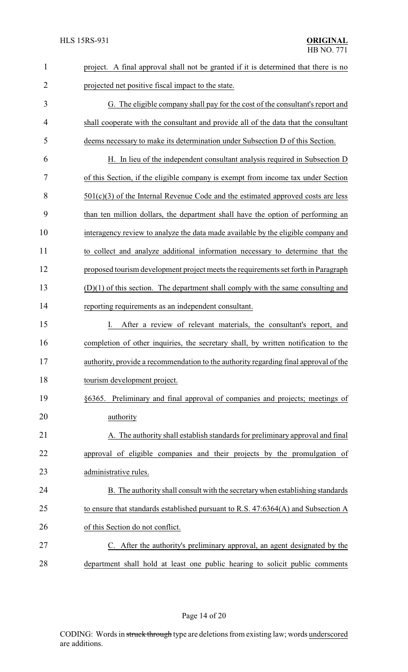| $\mathbf{1}$   | project. A final approval shall not be granted if it is determined that there is no  |
|----------------|--------------------------------------------------------------------------------------|
| $\overline{2}$ | projected net positive fiscal impact to the state.                                   |
| 3              | G. The eligible company shall pay for the cost of the consultant's report and        |
| 4              | shall cooperate with the consultant and provide all of the data that the consultant  |
| 5              | deems necessary to make its determination under Subsection D of this Section.        |
| 6              | H. In lieu of the independent consultant analysis required in Subsection D           |
| 7              | of this Section, if the eligible company is exempt from income tax under Section     |
| 8              | $501(c)(3)$ of the Internal Revenue Code and the estimated approved costs are less   |
| 9              | than ten million dollars, the department shall have the option of performing an      |
| 10             | interagency review to analyze the data made available by the eligible company and    |
| 11             | to collect and analyze additional information necessary to determine that the        |
| 12             | proposed tourism development project meets the requirements set forth in Paragraph   |
| 13             | $(D)(1)$ of this section. The department shall comply with the same consulting and   |
| 14             | reporting requirements as an independent consultant.                                 |
| 15             | After a review of relevant materials, the consultant's report, and<br>$\mathbf{I}$   |
| 16             | completion of other inquiries, the secretary shall, by written notification to the   |
| 17             | authority, provide a recommendation to the authority regarding final approval of the |
| 18             | tourism development project.                                                         |
| 19             | §6365. Preliminary and final approval of companies and projects; meetings of         |
| 20             | authority                                                                            |
| 21             | A. The authority shall establish standards for preliminary approval and final        |
| 22             | approval of eligible companies and their projects by the promulgation of             |
| 23             | administrative rules.                                                                |
| 24             | B. The authority shall consult with the secretary when establishing standards        |
| 25             | to ensure that standards established pursuant to R.S. 47:6364(A) and Subsection A    |
| 26             | of this Section do not conflict.                                                     |
| 27             | C. After the authority's preliminary approval, an agent designated by the            |
| 28             | department shall hold at least one public hearing to solicit public comments         |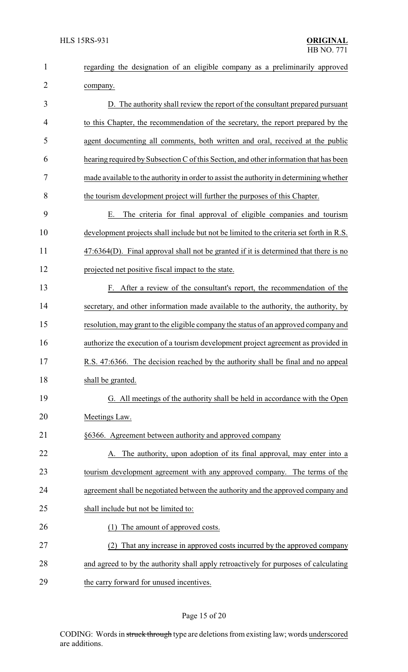| $\mathbf{1}$   | regarding the designation of an eligible company as a preliminarily approved            |
|----------------|-----------------------------------------------------------------------------------------|
| $\overline{2}$ | company.                                                                                |
| 3              | D. The authority shall review the report of the consultant prepared pursuant            |
| 4              | to this Chapter, the recommendation of the secretary, the report prepared by the        |
| 5              | agent documenting all comments, both written and oral, received at the public           |
| 6              | hearing required by Subsection C of this Section, and other information that has been   |
| 7              | made available to the authority in order to assist the authority in determining whether |
| 8              | the tourism development project will further the purposes of this Chapter.              |
| 9              | The criteria for final approval of eligible companies and tourism<br>Ε.                 |
| 10             | development projects shall include but not be limited to the criteria set forth in R.S. |
| 11             | 47:6364(D). Final approval shall not be granted if it is determined that there is no    |
| 12             | projected net positive fiscal impact to the state.                                      |
| 13             | F. After a review of the consultant's report, the recommendation of the                 |
| 14             | secretary, and other information made available to the authority, the authority, by     |
| 15             | resolution, may grant to the eligible company the status of an approved company and     |
| 16             | authorize the execution of a tourism development project agreement as provided in       |
| 17             | R.S. 47:6366. The decision reached by the authority shall be final and no appeal        |
| 18             | shall be granted.                                                                       |
| 19             | G. All meetings of the authority shall be held in accordance with the Open              |
| 20             | Meetings Law.                                                                           |
| 21             | §6366. Agreement between authority and approved company                                 |
| 22             | A. The authority, upon adoption of its final approval, may enter into a                 |
| 23             | tourism development agreement with any approved company. The terms of the               |
| 24             | agreement shall be negotiated between the authority and the approved company and        |
| 25             | shall include but not be limited to:                                                    |
| 26             | (1) The amount of approved costs.                                                       |
| 27             | That any increase in approved costs incurred by the approved company<br>(2)             |
| 28             | and agreed to by the authority shall apply retroactively for purposes of calculating    |
| 29             | the carry forward for unused incentives.                                                |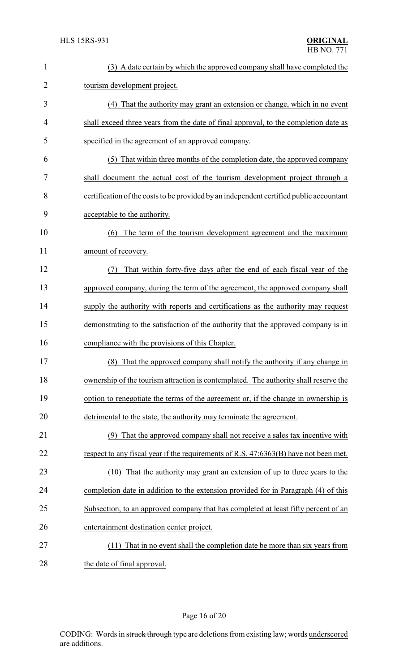| $\mathbf{1}$ | (3) A date certain by which the approved company shall have completed the               |
|--------------|-----------------------------------------------------------------------------------------|
| 2            | tourism development project.                                                            |
| 3            | (4) That the authority may grant an extension or change, which in no event              |
| 4            | shall exceed three years from the date of final approval, to the completion date as     |
| 5            | specified in the agreement of an approved company.                                      |
| 6            | (5) That within three months of the completion date, the approved company               |
| 7            | shall document the actual cost of the tourism development project through a             |
| 8            | certification of the costs to be provided by an independent certified public accountant |
| 9            | acceptable to the authority.                                                            |
| 10           | The term of the tourism development agreement and the maximum<br>(6)                    |
| 11           | amount of recovery.                                                                     |
| 12           | That within forty-five days after the end of each fiscal year of the<br>(7)             |
| 13           | approved company, during the term of the agreement, the approved company shall          |
| 14           | supply the authority with reports and certifications as the authority may request       |
| 15           | demonstrating to the satisfaction of the authority that the approved company is in      |
| 16           | compliance with the provisions of this Chapter.                                         |
| 17           | (8) That the approved company shall notify the authority if any change in               |
| 18           | ownership of the tourism attraction is contemplated. The authority shall reserve the    |
| 19           | option to renegotiate the terms of the agreement or, if the change in ownership is      |
| 20           | detrimental to the state, the authority may terminate the agreement.                    |
| 21           | That the approved company shall not receive a sales tax incentive with<br>(9)           |
| 22           | respect to any fiscal year if the requirements of R.S. 47:6363(B) have not been met.    |
| 23           | That the authority may grant an extension of up to three years to the<br>(10)           |
| 24           | completion date in addition to the extension provided for in Paragraph (4) of this      |
| 25           | Subsection, to an approved company that has completed at least fifty percent of an      |
| 26           | entertainment destination center project.                                               |
| 27           | (11) That in no event shall the completion date be more than six years from             |
| 28           | the date of final approval.                                                             |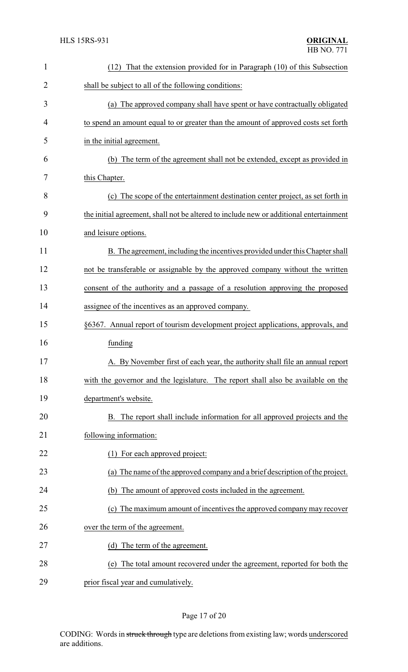| $\mathbf{1}$   | That the extension provided for in Paragraph (10) of this Subsection<br>(12)           |
|----------------|----------------------------------------------------------------------------------------|
| $\overline{2}$ | shall be subject to all of the following conditions:                                   |
| 3              | (a) The approved company shall have spent or have contractually obligated              |
| 4              | to spend an amount equal to or greater than the amount of approved costs set forth     |
| 5              | in the initial agreement.                                                              |
| 6              | (b) The term of the agreement shall not be extended, except as provided in             |
| 7              | this Chapter.                                                                          |
| 8              | (c) The scope of the entertainment destination center project, as set forth in         |
| 9              | the initial agreement, shall not be altered to include new or additional entertainment |
| 10             | and leisure options.                                                                   |
| 11             | B. The agreement, including the incentives provided under this Chapter shall           |
| 12             | not be transferable or assignable by the approved company without the written          |
| 13             | consent of the authority and a passage of a resolution approving the proposed          |
| 14             | assignee of the incentives as an approved company.                                     |
| 15             | §6367. Annual report of tourism development project applications, approvals, and       |
| 16             | funding                                                                                |
| 17             | A. By November first of each year, the authority shall file an annual report           |
| 18             | with the governor and the legislature. The report shall also be available on the       |
| 19             | department's website.                                                                  |
| 20             | B. The report shall include information for all approved projects and the              |
| 21             | following information:                                                                 |
| 22             | For each approved project:                                                             |
| 23             | (a) The name of the approved company and a brief description of the project.           |
| 24             | (b) The amount of approved costs included in the agreement.                            |
| 25             | The maximum amount of incentives the approved company may recover<br>(c)               |
| 26             | over the term of the agreement.                                                        |
| 27             | (d) The term of the agreement.                                                         |
| 28             | The total amount recovered under the agreement, reported for both the<br>(e)           |
| 29             | prior fiscal year and cumulatively.                                                    |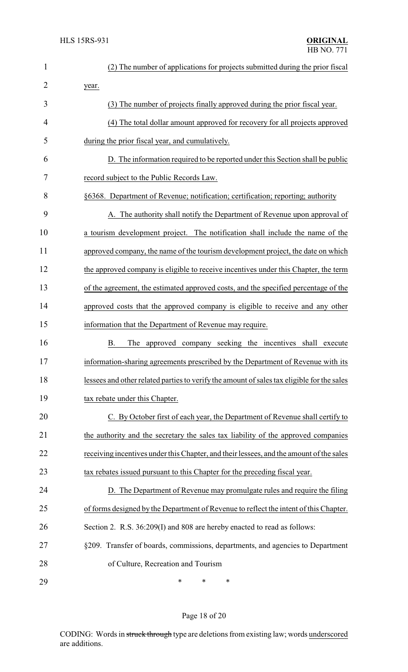| 1              | (2) The number of applications for projects submitted during the prior fiscal              |
|----------------|--------------------------------------------------------------------------------------------|
| $\overline{2}$ | year.                                                                                      |
| 3              | (3) The number of projects finally approved during the prior fiscal year.                  |
| 4              | (4) The total dollar amount approved for recovery for all projects approved                |
| 5              | during the prior fiscal year, and cumulatively.                                            |
| 6              | D. The information required to be reported under this Section shall be public              |
| 7              | record subject to the Public Records Law.                                                  |
| 8              | §6368. Department of Revenue; notification; certification; reporting; authority            |
| 9              | A. The authority shall notify the Department of Revenue upon approval of                   |
| 10             | a tourism development project. The notification shall include the name of the              |
| 11             | approved company, the name of the tourism development project, the date on which           |
| 12             | the approved company is eligible to receive incentives under this Chapter, the term        |
| 13             | of the agreement, the estimated approved costs, and the specified percentage of the        |
| 14             | approved costs that the approved company is eligible to receive and any other              |
| 15             | information that the Department of Revenue may require.                                    |
| 16             | Β.<br>The approved company seeking the incentives shall<br>execute                         |
| 17             | information-sharing agreements prescribed by the Department of Revenue with its            |
| 18             | lessees and other related parties to verify the amount of sales tax eligible for the sales |
| 19             | tax rebate under this Chapter.                                                             |
| 20             | C. By October first of each year, the Department of Revenue shall certify to               |
| 21             | the authority and the secretary the sales tax liability of the approved companies          |
| 22             | receiving incentives under this Chapter, and their lessees, and the amount of the sales    |
| 23             | tax rebates issued pursuant to this Chapter for the preceding fiscal year.                 |
| 24             | D. The Department of Revenue may promulgate rules and require the filing                   |
| 25             | of forms designed by the Department of Revenue to reflect the intent of this Chapter.      |
| 26             | Section 2. R.S. 36:209(I) and 808 are hereby enacted to read as follows:                   |
| 27             | §209. Transfer of boards, commissions, departments, and agencies to Department             |
| 28             | of Culture, Recreation and Tourism                                                         |
| 29             | ∗<br>∗<br>∗                                                                                |

Page 18 of 20

CODING: Words in struck through type are deletions from existing law; words underscored are additions.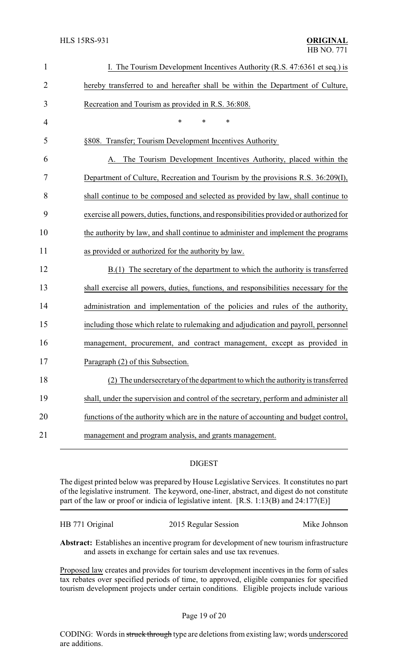| $\mathbf{1}$   | I. The Tourism Development Incentives Authority (R.S. 47:6361 et seq.) is               |
|----------------|-----------------------------------------------------------------------------------------|
| $\overline{2}$ | hereby transferred to and hereafter shall be within the Department of Culture,          |
| 3              | Recreation and Tourism as provided in R.S. 36:808.                                      |
| 4              | $\ast$<br>$\ast$<br>*                                                                   |
| 5              | §808. Transfer; Tourism Development Incentives Authority                                |
| 6              | The Tourism Development Incentives Authority, placed within the<br>А.                   |
| 7              | Department of Culture, Recreation and Tourism by the provisions R.S. 36:209(I),         |
| 8              | shall continue to be composed and selected as provided by law, shall continue to        |
| 9              | exercise all powers, duties, functions, and responsibilities provided or authorized for |
| 10             | the authority by law, and shall continue to administer and implement the programs       |
| 11             | as provided or authorized for the authority by law.                                     |
| 12             | B.(1) The secretary of the department to which the authority is transferred             |
| 13             | shall exercise all powers, duties, functions, and responsibilities necessary for the    |
| 14             | administration and implementation of the policies and rules of the authority,           |
| 15             | including those which relate to rulemaking and adjudication and payroll, personnel      |
| 16             | management, procurement, and contract management, except as provided in                 |
| 17             | Paragraph (2) of this Subsection.                                                       |
| 18             | (2) The undersecretary of the department to which the authority is transferred          |
| 19             | shall, under the supervision and control of the secretary, perform and administer all   |
| 20             | functions of the authority which are in the nature of accounting and budget control,    |
| 21             | management and program analysis, and grants management.                                 |

#### DIGEST

The digest printed below was prepared by House Legislative Services. It constitutes no part of the legislative instrument. The keyword, one-liner, abstract, and digest do not constitute part of the law or proof or indicia of legislative intent. [R.S. 1:13(B) and 24:177(E)]

| HB 771 Original | 2015 Regular Session | Mike Johnson |
|-----------------|----------------------|--------------|
|                 |                      |              |

**Abstract:** Establishes an incentive program for development of new tourism infrastructure and assets in exchange for certain sales and use tax revenues.

Proposed law creates and provides for tourism development incentives in the form of sales tax rebates over specified periods of time, to approved, eligible companies for specified tourism development projects under certain conditions. Eligible projects include various